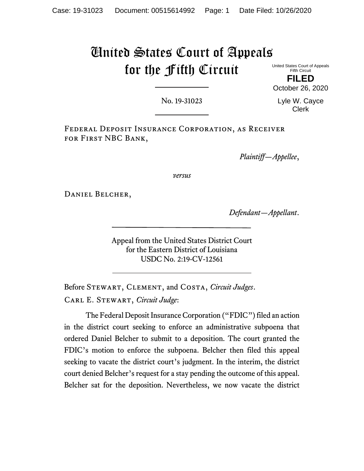# United States Court of Appeals for the Fifth Circuit

United States Court of Appeals Fifth Circuit

**FILED** October 26, 2020

No. 19-31023

Lyle W. Cayce Clerk

Federal Deposit Insurance Corporation, as Receiver for First NBC Bank,

*Plaintiff—Appellee*,

*versus*

DANIEL BELCHER,

*Defendant—Appellant*.

Appeal from the United States District Court for the Eastern District of Louisiana USDC No. 2:19-CV-12561

Before Stewart, Clement, and Costa, *Circuit Judges*. Carl E. Stewart, *Circuit Judge*:

The Federal Deposit Insurance Corporation ("FDIC") filed an action in the district court seeking to enforce an administrative subpoena that ordered Daniel Belcher to submit to a deposition. The court granted the FDIC's motion to enforce the subpoena. Belcher then filed this appeal seeking to vacate the district court's judgment. In the interim, the district court denied Belcher's request for a stay pending the outcome of this appeal. Belcher sat for the deposition. Nevertheless, we now vacate the district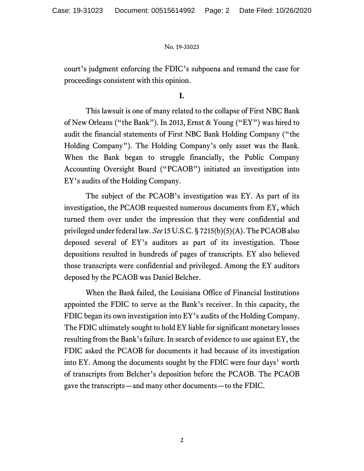court's judgment enforcing the FDIC's subpoena and remand the case for proceedings consistent with this opinion.

## **I.**

This lawsuit is one of many related to the collapse of First NBC Bank of New Orleans ("the Bank"). In 2013, Ernst & Young ("EY") was hired to audit the financial statements of First NBC Bank Holding Company ("the Holding Company"). The Holding Company's only asset was the Bank. When the Bank began to struggle financially, the Public Company Accounting Oversight Board ("PCAOB") initiated an investigation into EY's audits of the Holding Company.

The subject of the PCAOB's investigation was EY. As part of its investigation, the PCAOB requested numerous documents from EY, which turned them over under the impression that they were confidential and privileged under federal law. *See* 15 U.S.C. § 7215(b)(5)(A). The PCAOB also deposed several of EY's auditors as part of its investigation. Those depositions resulted in hundreds of pages of transcripts. EY also believed those transcripts were confidential and privileged. Among the EY auditors deposed by the PCAOB was Daniel Belcher.

When the Bank failed, the Louisiana Office of Financial Institutions appointed the FDIC to serve as the Bank's receiver. In this capacity, the FDIC began its own investigation into EY's audits of the Holding Company. The FDIC ultimately sought to hold EY liable for significant monetary losses resulting from the Bank's failure. In search of evidence to use against EY, the FDIC asked the PCAOB for documents it had because of its investigation into EY. Among the documents sought by the FDIC were four days' worth of transcripts from Belcher's deposition before the PCAOB. The PCAOB gave the transcripts—and many other documents—to the FDIC.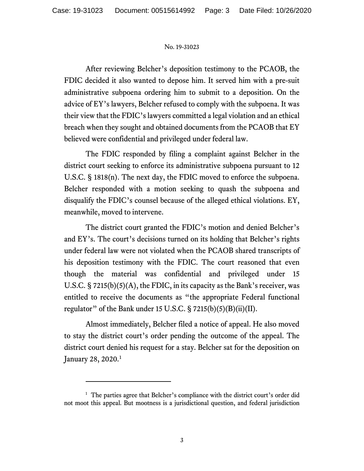After reviewing Belcher's deposition testimony to the PCAOB, the FDIC decided it also wanted to depose him. It served him with a pre-suit administrative subpoena ordering him to submit to a deposition. On the advice of EY's lawyers, Belcher refused to comply with the subpoena. It was their view that the FDIC's lawyers committed a legal violation and an ethical breach when they sought and obtained documents from the PCAOB that EY believed were confidential and privileged under federal law.

The FDIC responded by filing a complaint against Belcher in the district court seeking to enforce its administrative subpoena pursuant to 12 U.S.C. § 1818(n). The next day, the FDIC moved to enforce the subpoena. Belcher responded with a motion seeking to quash the subpoena and disqualify the FDIC's counsel because of the alleged ethical violations. EY, meanwhile, moved to intervene.

The district court granted the FDIC's motion and denied Belcher's and EY's. The court's decisions turned on its holding that Belcher's rights under federal law were not violated when the PCAOB shared transcripts of his deposition testimony with the FDIC. The court reasoned that even though the material was confidential and privileged under 15 U.S.C. § 7215(b)(5)(A), the FDIC, in its capacity as the Bank's receiver, was entitled to receive the documents as "the appropriate Federal functional regulator" of the Bank under 15 U.S.C.  $\S 7215(b)(5)(B)(ii)(II)$ .

Almost immediately, Belcher filed a notice of appeal. He also moved to stay the district court's order pending the outcome of the appeal. The district court denied his request for a stay. Belcher sat for the deposition on January 28, 2020.<sup>[1](#page-2-0)</sup>

<span id="page-2-0"></span><sup>&</sup>lt;sup>1</sup> The parties agree that Belcher's compliance with the district court's order did not moot this appeal. But mootness is a jurisdictional question, and federal jurisdiction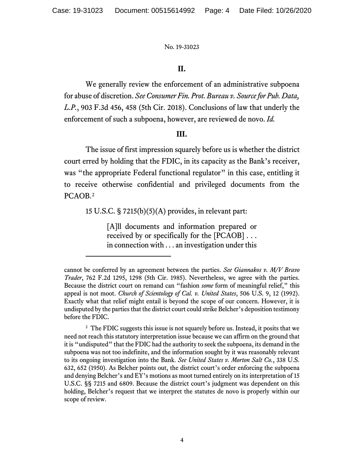# **II.**

We generally review the enforcement of an administrative subpoena for abuse of discretion. *See Consumer Fin. Prot. Bureau v. Source for Pub. Data, L.P.*, 903 F.3d 456, 458 (5th Cir. 2018). Conclusions of law that underly the enforcement of such a subpoena, however, are reviewed de novo. *Id.*

## **III.**

The issue of first impression squarely before us is whether the district court erred by holding that the FDIC, in its capacity as the Bank's receiver, was "the appropriate Federal functional regulator" in this case, entitling it to receive otherwise confidential and privileged documents from the PCAOB. [2](#page-3-0)

15 U.S.C. § 7215(b)(5)(A) provides, in relevant part:

[A]ll documents and information prepared or received by or specifically for the [PCAOB] . . . in connection with . . . an investigation under this

cannot be conferred by an agreement between the parties. *See Giannakos v. M/V Bravo Trader*, 762 F.2d 1295, 1298 (5th Cir. 1985). Nevertheless, we agree with the parties. Because the district court on remand can "fashion *some* form of meaningful relief," this appeal is not moot. *Church of Scientology of Cal. v. United States*, 506 U.S. 9, 12 (1992). Exactly what that relief might entail is beyond the scope of our concern. However, it is undisputed by the parties that the district court could strike Belcher's deposition testimony before the FDIC.

<span id="page-3-0"></span> $2$  The FDIC suggests this issue is not squarely before us. Instead, it posits that we need not reach this statutory interpretation issue because we can affirm on the ground that it is "undisputed" that the FDIC had the authority to seek the subpoena, its demand in the subpoena was not too indefinite, and the information sought by it was reasonably relevant to its ongoing investigation into the Bank. *See United States v. Morton Salt Co.*, 338 U.S. 632, 652 (1950). As Belcher points out, the district court's order enforcing the subpoena and denying Belcher's and EY's motions as moot turned entirely on its interpretation of 15 U.S.C. §§ 7215 and 6809. Because the district court's judgment was dependent on this holding, Belcher's request that we interpret the statutes de novo is properly within our scope of review.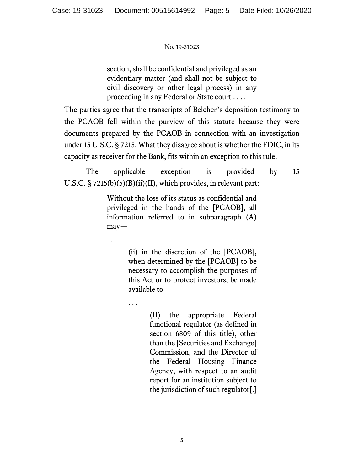section, shall be confidential and privileged as an evidentiary matter (and shall not be subject to civil discovery or other legal process) in any proceeding in any Federal or State court . . . .

The parties agree that the transcripts of Belcher's deposition testimony to the PCAOB fell within the purview of this statute because they were documents prepared by the PCAOB in connection with an investigation under 15 U.S.C. § 7215. What they disagree about is whether the FDIC, in its capacity as receiver for the Bank, fits within an exception to this rule.

The applicable exception is provided by 15 U.S.C. § 7215(b)(5)(B)(ii)(II), which provides, in relevant part:

> Without the loss of its status as confidential and privileged in the hands of the [PCAOB], all information referred to in subparagraph (A) may—

> > (ii) in the discretion of the [PCAOB], when determined by the [PCAOB] to be necessary to accomplish the purposes of this Act or to protect investors, be made available to—

. . .

. . .

(II) the appropriate Federal functional regulator (as defined in section 6809 of this title), other than the [Securities and Exchange] Commission, and the Director of the Federal Housing Finance Agency, with respect to an audit report for an institution subject to the jurisdiction of such regulator[.]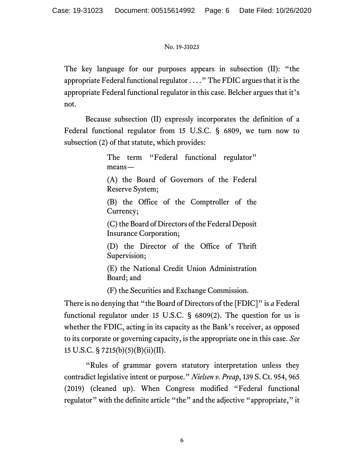The key language for our purposes appears in subsection (II): "the appropriate Federal functional regulator . . . ." The FDIC argues that it is the appropriate Federal functional regulator in this case. Belcher argues that it's not.

Because subsection (II) expressly incorporates the definition of a Federal functional regulator from 15 U.S.C. § 6809, we turn now to subsection (2) of that statute, which provides:

> The term "Federal functional regulator" means— (A) the Board of Governors of the Federal Reserve System; (B) the Office of the Comptroller of the Currency; (C) the Board of Directors of the Federal Deposit Insurance Corporation; (D) the Director of the Office of Thrift Supervision; (E) the National Credit Union Administration

Board; and

(F) the Securities and Exchange Commission.

There is no denying that "the Board of Directors of the [FDIC]" is *a* Federal functional regulator under 15 U.S.C. § 6809(2). The question for us is whether the FDIC, acting in its capacity as the Bank's receiver, as opposed to its corporate or governing capacity, is the appropriate one in this case. *See* 15 U.S.C. § 7215(b)(5)(B)(ii)(II).

"Rules of grammar govern statutory interpretation unless they contradict legislative intent or purpose." *Nielsen v. Preap*, 139 S. Ct. 954, 965 (2019) (cleaned up). When Congress modified "Federal functional regulator" with the definite article "the" and the adjective "appropriate," it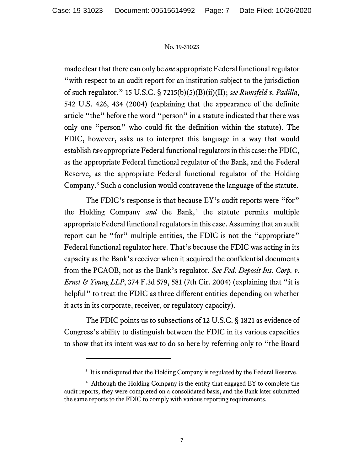made clear that there can only be *one* appropriate Federal functional regulator "with respect to an audit report for an institution subject to the jurisdiction of such regulator." 15 U.S.C. § 7215(b)(5)(B)(ii)(II); *see Rumsfeld v. Padilla*, 542 U.S. 426, 434 (2004) (explaining that the appearance of the definite article "the" before the word "person" in a statute indicated that there was only one "person" who could fit the definition within the statute). The FDIC, however, asks us to interpret this language in a way that would establish *two* appropriate Federal functional regulators in this case: the FDIC, as the appropriate Federal functional regulator of the Bank, and the Federal Reserve, as the appropriate Federal functional regulator of the Holding Company.[3](#page-6-0) Such a conclusion would contravene the language of the statute.

The FDIC's response is that because EY's audit reports were "for" the Holding Company *and* the Bank,<sup>[4](#page-6-1)</sup> the statute permits multiple appropriate Federal functional regulators in this case. Assuming that an audit report can be "for" multiple entities, the FDIC is not the "appropriate" Federal functional regulator here. That's because the FDIC was acting in its capacity as the Bank's receiver when it acquired the confidential documents from the PCAOB, not as the Bank's regulator. *See Fed. Deposit Ins. Corp. v. Ernst & Young LLP*, 374 F.3d 579, 581 (7th Cir. 2004) (explaining that "it is helpful" to treat the FDIC as three different entities depending on whether it acts in its corporate, receiver, or regulatory capacity).

The FDIC points us to subsections of 12 U.S.C. § 1821 as evidence of Congress's ability to distinguish between the FDIC in its various capacities to show that its intent was *not* to do so here by referring only to "the Board

 $3$  It is undisputed that the Holding Company is regulated by the Federal Reserve.

<span id="page-6-1"></span><span id="page-6-0"></span><sup>4</sup> Although the Holding Company is the entity that engaged EY to complete the audit reports, they were completed on a consolidated basis, and the Bank later submitted the same reports to the FDIC to comply with various reporting requirements.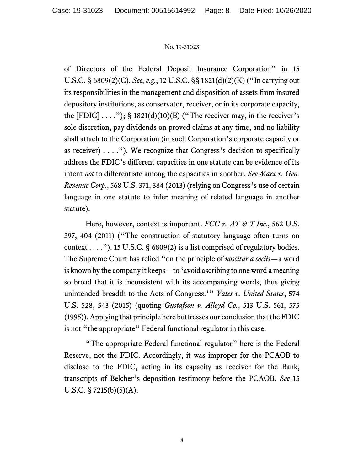of Directors of the Federal Deposit Insurance Corporation" in 15 U.S.C. § 6809(2)(C). *See, e.g.*, 12 U.S.C. §§ 1821(d)(2)(K) ("In carrying out its responsibilities in the management and disposition of assets from insured depository institutions, as conservator, receiver, or in its corporate capacity, the  $[FDIC] \ldots$ "); § 1821(d)(10)(B) ("The receiver may, in the receiver's sole discretion, pay dividends on proved claims at any time, and no liability shall attach to the Corporation (in such Corporation's corporate capacity or as receiver)  $\dots$ ."). We recognize that Congress's decision to specifically address the FDIC's different capacities in one statute can be evidence of its intent *not* to differentiate among the capacities in another. *See Marx v. Gen. Revenue Corp.*, 568 U.S. 371, 384 (2013) (relying on Congress's use of certain language in one statute to infer meaning of related language in another statute).

Here, however, context is important. *FCC v. AT & T Inc.*, 562 U.S. 397, 404 (2011) ("The construction of statutory language often turns on context  $\dots$ "). 15 U.S.C. § 6809(2) is a list comprised of regulatory bodies. The Supreme Court has relied "on the principle of *noscitur a sociis*—a word is known by the company it keeps—to 'avoid ascribing to one word a meaning so broad that it is inconsistent with its accompanying words, thus giving unintended breadth to the Acts of Congress.'" *Yates v. United States*, 574 U.S. 528, 543 (2015) (quoting *Gustafson v. Alloyd Co.*, 513 U.S. 561, 575 (1995)). Applying that principle here buttresses our conclusion that the FDIC is not "the appropriate" Federal functional regulator in this case.

"The appropriate Federal functional regulator" here is the Federal Reserve, not the FDIC. Accordingly, it was improper for the PCAOB to disclose to the FDIC, acting in its capacity as receiver for the Bank, transcripts of Belcher's deposition testimony before the PCAOB. *See* 15 U.S.C.  $\S 7215(b)(5)(A)$ .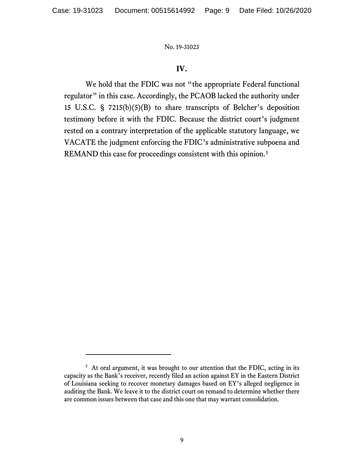# **IV.**

We hold that the FDIC was not "the appropriate Federal functional regulator" in this case. Accordingly, the PCAOB lacked the authority under 15 U.S.C. § 7215(b)(5)(B) to share transcripts of Belcher's deposition testimony before it with the FDIC. Because the district court's judgment rested on a contrary interpretation of the applicable statutory language, we VACATE the judgment enforcing the FDIC's administrative subpoena and REMAND this case for proceedings consistent with this opinion.<sup>[5](#page-8-0)</sup>

<span id="page-8-0"></span><sup>&</sup>lt;sup>5</sup> At oral argument, it was brought to our attention that the FDIC, acting in its capacity as the Bank's receiver, recently filed an action against EY in the Eastern District of Louisiana seeking to recover monetary damages based on EY's alleged negligence in auditing the Bank. We leave it to the district court on remand to determine whether there are common issues between that case and this one that may warrant consolidation.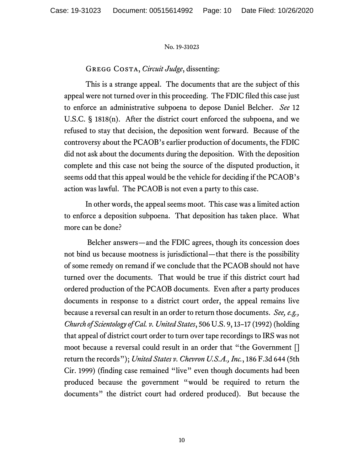# Gregg Costa, *Circuit Judge*, dissenting:

This is a strange appeal. The documents that are the subject of this appeal were not turned over in this proceeding. The FDIC filed this case just to enforce an administrative subpoena to depose Daniel Belcher. *See* 12 U.S.C. § 1818(n). After the district court enforced the subpoena, and we refused to stay that decision, the deposition went forward. Because of the controversy about the PCAOB's earlier production of documents, the FDIC did not ask about the documents during the deposition. With the deposition complete and this case not being the source of the disputed production, it seems odd that this appeal would be the vehicle for deciding if the PCAOB's action was lawful. The PCAOB is not even a party to this case.

In other words, the appeal seems moot. This case was a limited action to enforce a deposition subpoena. That deposition has taken place. What more can be done?

Belcher answers—and the FDIC agrees, though its concession does not bind us because mootness is jurisdictional—that there is the possibility of some remedy on remand if we conclude that the PCAOB should not have turned over the documents. That would be true if this district court had ordered production of the PCAOB documents. Even after a party produces documents in response to a district court order, the appeal remains live because a reversal can result in an order to return those documents. *See, e.g., Church of Scientology of Cal. v. United States*, 506 U.S. 9, 13–17 (1992) (holding that appeal of district court order to turn over tape recordings to IRS was not moot because a reversal could result in an order that "the Government [] return the records"); *United States v. Chevron U.S.A., Inc.*, 186 F.3d 644 (5th Cir. 1999) (finding case remained "live" even though documents had been produced because the government "would be required to return the documents" the district court had ordered produced). But because the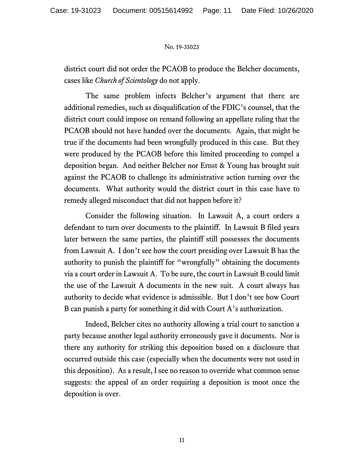district court did not order the PCAOB to produce the Belcher documents, cases like *Church of Scientology* do not apply.

The same problem infects Belcher's argument that there are additional remedies, such as disqualification of the FDIC's counsel, that the district court could impose on remand following an appellate ruling that the PCAOB should not have handed over the documents. Again, that might be true if the documents had been wrongfully produced in this case. But they were produced by the PCAOB before this limited proceeding to compel a deposition began. And neither Belcher nor Ernst & Young has brought suit against the PCAOB to challenge its administrative action turning over the documents. What authority would the district court in this case have to remedy alleged misconduct that did not happen before it?

Consider the following situation. In Lawsuit A, a court orders a defendant to turn over documents to the plaintiff. In Lawsuit B filed years later between the same parties, the plaintiff still possesses the documents from Lawsuit A. I don't see how the court presiding over Lawsuit B has the authority to punish the plaintiff for "wrongfully" obtaining the documents via a court order in Lawsuit A. To be sure, the court in Lawsuit B could limit the use of the Lawsuit A documents in the new suit. A court always has authority to decide what evidence is admissible. But I don't see how Court B can punish a party for something it did with Court A's authorization.

Indeed, Belcher cites no authority allowing a trial court to sanction a party because another legal authority erroneously gave it documents. Nor is there any authority for striking this deposition based on a disclosure that occurred outside this case (especially when the documents were not used in this deposition). As a result, I see no reason to override what common sense suggests: the appeal of an order requiring a deposition is moot once the deposition is over.